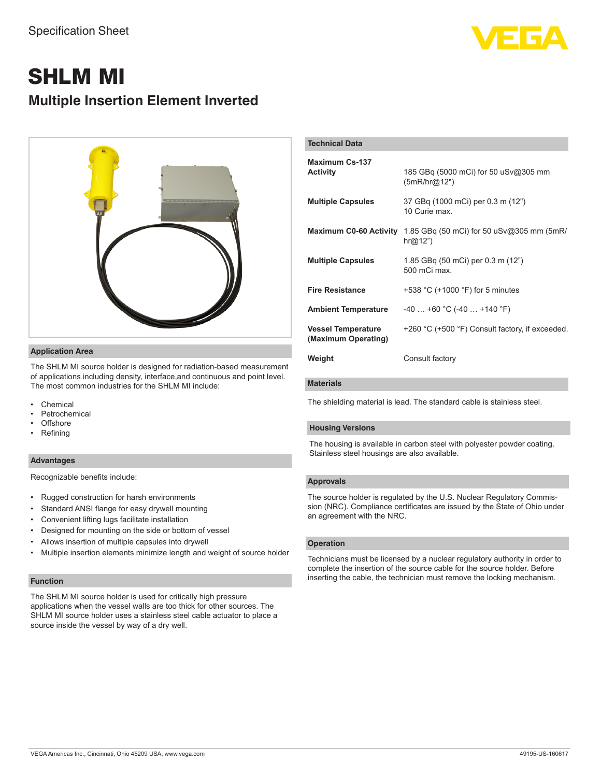

# SHLM MI **Multiple Insertion Element Inverted**



# **Application Area**

The SHLM MI source holder is designed for radiation-based measurement of applications including density, interface,and continuous and point level. The most common industries for the SHLM MI include:

- **Chemical**
- **Petrochemical**
- Offshore
- Refining

# **Advantages**

Recognizable benefits include:

- Rugged construction for harsh environments
- Standard ANSI flange for easy drywell mounting
- Convenient lifting lugs facilitate installation
- Designed for mounting on the side or bottom of vessel
- Allows insertion of multiple capsules into drywell
- Multiple insertion elements minimize length and weight of source holder

# **Function**

The SHLM MI source holder is used for critically high pressure applications when the vessel walls are too thick for other sources. The SHLM MI source holder uses a stainless steel cable actuator to place a source inside the vessel by way of a dry well.

| <b>Technical Data</b>                            |                                                      |
|--------------------------------------------------|------------------------------------------------------|
| Maximum Cs-137<br><b>Activity</b>                | 185 GBq (5000 mCi) for 50 uSv@305 mm<br>(5mR/hr@12") |
| <b>Multiple Capsules</b>                         | 37 GBg (1000 mCi) per 0.3 m (12")<br>10 Curie max.   |
| <b>Maximum C0-60 Activity</b>                    | 1.85 GBq (50 mCi) for 50 uSv@305 mm (5mR/<br>hr@12") |
| <b>Multiple Capsules</b>                         | 1.85 GBq (50 mCi) per 0.3 m (12")<br>500 mCi max.    |
| <b>Fire Resistance</b>                           | +538 $^{\circ}$ C (+1000 $^{\circ}$ F) for 5 minutes |
| <b>Ambient Temperature</b>                       | $-40$ +60 °C (-40  +140 °F)                          |
| <b>Vessel Temperature</b><br>(Maximum Operating) | +260 °C (+500 °F) Consult factory, if exceeded.      |
| Weight                                           | Consult factory                                      |

# **Materials**

The shielding material is lead. The standard cable is stainless steel.

### **Housing Versions**

The housing is available in carbon steel with polyester powder coating. Stainless steel housings are also available.

# **Approvals**

The source holder is regulated by the U.S. Nuclear Regulatory Commission (NRC). Compliance certificates are issued by the State of Ohio under an agreement with the NRC.

#### **Operation**

Technicians must be licensed by a nuclear regulatory authority in order to complete the insertion of the source cable for the source holder. Before inserting the cable, the technician must remove the locking mechanism.